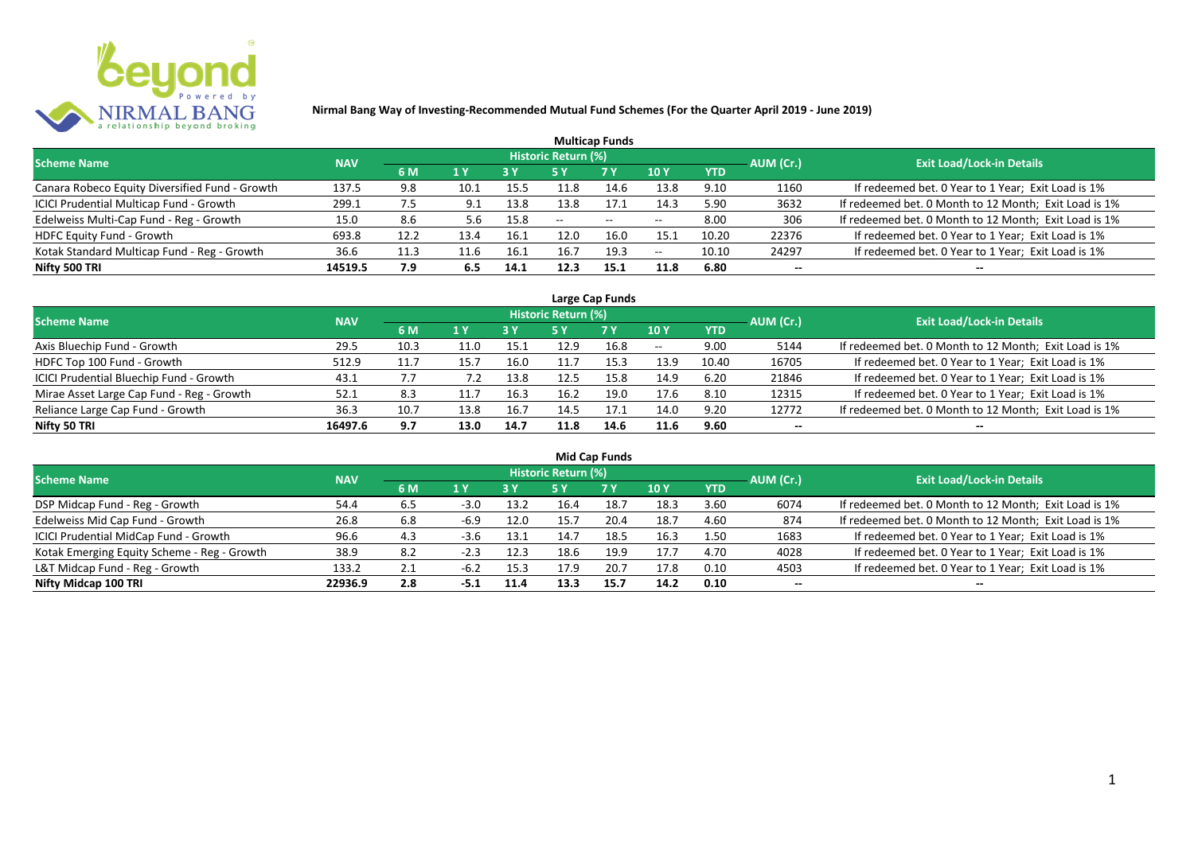

|                                                |            |      |      |      |                            | <b>Multicap Funds</b> |      |            |           |                                                       |
|------------------------------------------------|------------|------|------|------|----------------------------|-----------------------|------|------------|-----------|-------------------------------------------------------|
| <b>Scheme Name</b>                             | <b>NAV</b> |      |      |      | <b>Historic Return (%)</b> |                       |      |            | AUM (Cr.) | <b>Exit Load/Lock-in Details</b>                      |
|                                                |            | 6 M  | 1 Y  |      |                            | <b>7 Y</b>            | 10Y  | <b>YTD</b> |           |                                                       |
| Canara Robeco Equity Diversified Fund - Growth | 137.5      | 9.8  | 10.1 | 15.5 | 11.8                       | 14.6                  | 13.8 | 9.10       | 1160      | If redeemed bet. 0 Year to 1 Year; Exit Load is 1%    |
| ICICI Prudential Multicap Fund - Growth        | 299.1      | 7.5  | 9.1  | 13.8 | 13.8                       | 17.1                  | 14.3 | 5.90       | 3632      | If redeemed bet. 0 Month to 12 Month; Exit Load is 1% |
| Edelweiss Multi-Cap Fund - Reg - Growth        | 15.0       | 8.6  | 5.6  | 15.8 | $- -$                      | $\sim$                | $-$  | 8.00       | 306       | If redeemed bet. 0 Month to 12 Month; Exit Load is 1% |
| <b>HDFC Equity Fund - Growth</b>               | 693.8      | 12.2 | 13.4 | 16.1 | 12.0                       | 16.0                  | 15.1 | 10.20      | 22376     | If redeemed bet. 0 Year to 1 Year; Exit Load is 1%    |
| Kotak Standard Multicap Fund - Reg - Growth    | 36.6       | 11.3 | 11.6 | 16.1 | 16.7                       | 19.3                  | $-$  | 10.10      | 24297     | If redeemed bet. 0 Year to 1 Year; Exit Load is 1%    |
| Nifty 500 TRI                                  | 14519.5    | 7.9  | 6.5  | 14.1 | 12.3                       | 15.1                  | 11.8 | 6.80       | $- -$     | $- -$                                                 |

| Large Cap Funds                           |            |      |                  |      |                     |           |            |            |           |                                                       |  |  |  |
|-------------------------------------------|------------|------|------------------|------|---------------------|-----------|------------|------------|-----------|-------------------------------------------------------|--|--|--|
| Scheme Name                               | <b>NAV</b> |      |                  |      | Historic Return (%) |           |            |            | AUM (Cr.) | <b>Exit Load/Lock-in Details</b>                      |  |  |  |
|                                           |            | 6 M  | $\overline{1}$ Y |      | 5 Y                 | <b>7Y</b> | <b>10Y</b> | <b>YTD</b> |           |                                                       |  |  |  |
| Axis Bluechip Fund - Growth               | 29.5       | 10.3 | 11.0             | 15.1 | 12.9                | 16.8      | $- -$      | 9.00       | 5144      | If redeemed bet. 0 Month to 12 Month; Exit Load is 1% |  |  |  |
| HDFC Top 100 Fund - Growth                | 512.9      | 11.7 | 15.7             | 16.0 |                     | 15.3      | 13.9       | 10.40      | 16705     | If redeemed bet. 0 Year to 1 Year; Exit Load is 1%    |  |  |  |
| ICICI Prudential Bluechip Fund - Growth   | 43.1       | 7.7  | 7.2              | 13.8 | 12.5                | 15.8      | 14.9       | 6.20       | 21846     | If redeemed bet. 0 Year to 1 Year; Exit Load is 1%    |  |  |  |
| Mirae Asset Large Cap Fund - Reg - Growth | 52.1       | 8.3  |                  | 16.3 | 16.2                | 19.0      | 17.6       | 8.10       | 12315     | If redeemed bet. 0 Year to 1 Year; Exit Load is 1%    |  |  |  |
| Reliance Large Cap Fund - Growth          | 36.3       | 10.7 | 13.8             | 16.7 | 14.5                | 17.1      | 14.0       | 9.20       | 12772     | If redeemed bet. 0 Month to 12 Month; Exit Load is 1% |  |  |  |
| Nifty 50 TRI                              | 16497.6    | 9.7  | 13.0             | 14.7 | 11.8                | 14.6      | 11.6       | 9.60       |           |                                                       |  |  |  |

| <b>Mid Cap Funds</b>                        |            |     |        |      |                            |      |      |            |                          |                                                       |  |  |  |
|---------------------------------------------|------------|-----|--------|------|----------------------------|------|------|------------|--------------------------|-------------------------------------------------------|--|--|--|
| <b>Scheme Name</b>                          | <b>NAV</b> |     |        |      | <b>Historic Return (%)</b> |      |      |            | AUM (Cr.)                | <b>Exit Load/Lock-in Details</b>                      |  |  |  |
|                                             |            | 6 M | 1 Y    | 3 Y  | 5 Y                        | 7 Y  | 10 Y | <b>YTD</b> |                          |                                                       |  |  |  |
| DSP Midcap Fund - Reg - Growth              | 54.4       | 6.5 | $-3.0$ | 13.2 | 16.4                       | 18.7 | 18.3 | 3.60       | 6074                     | If redeemed bet. 0 Month to 12 Month; Exit Load is 1% |  |  |  |
| Edelweiss Mid Cap Fund - Growth             | 26.8       | 6.8 | $-6.9$ | 12.0 | 15.7                       | 20.4 | 18.7 | 4.60       | 874                      | If redeemed bet. 0 Month to 12 Month; Exit Load is 1% |  |  |  |
| ICICI Prudential MidCap Fund - Growth       | 96.6       | 4.3 | $-3.6$ | 13.1 | 14.7                       | 18.5 | 16.3 | 1.50       | 1683                     | If redeemed bet. 0 Year to 1 Year; Exit Load is 1%    |  |  |  |
| Kotak Emerging Equity Scheme - Reg - Growth | 38.9       | 8.2 | -2.3   | 12.3 | 18.6                       | 19.9 | 17.7 | 4.70       | 4028                     | If redeemed bet. 0 Year to 1 Year; Exit Load is 1%    |  |  |  |
| L&T Midcap Fund - Reg - Growth              | 133.2      | 2.1 | -6.2   | 15.3 | 17.9                       | 20.7 | 17.8 | 0.10       | 4503                     | If redeemed bet. 0 Year to 1 Year; Exit Load is 1%    |  |  |  |
| Nifty Midcap 100 TRI                        | 22936.9    | 2.8 | -5.1   | 11.4 | 13.3                       | 15.7 | 14.2 | 0.10       | $\overline{\phantom{a}}$ | --                                                    |  |  |  |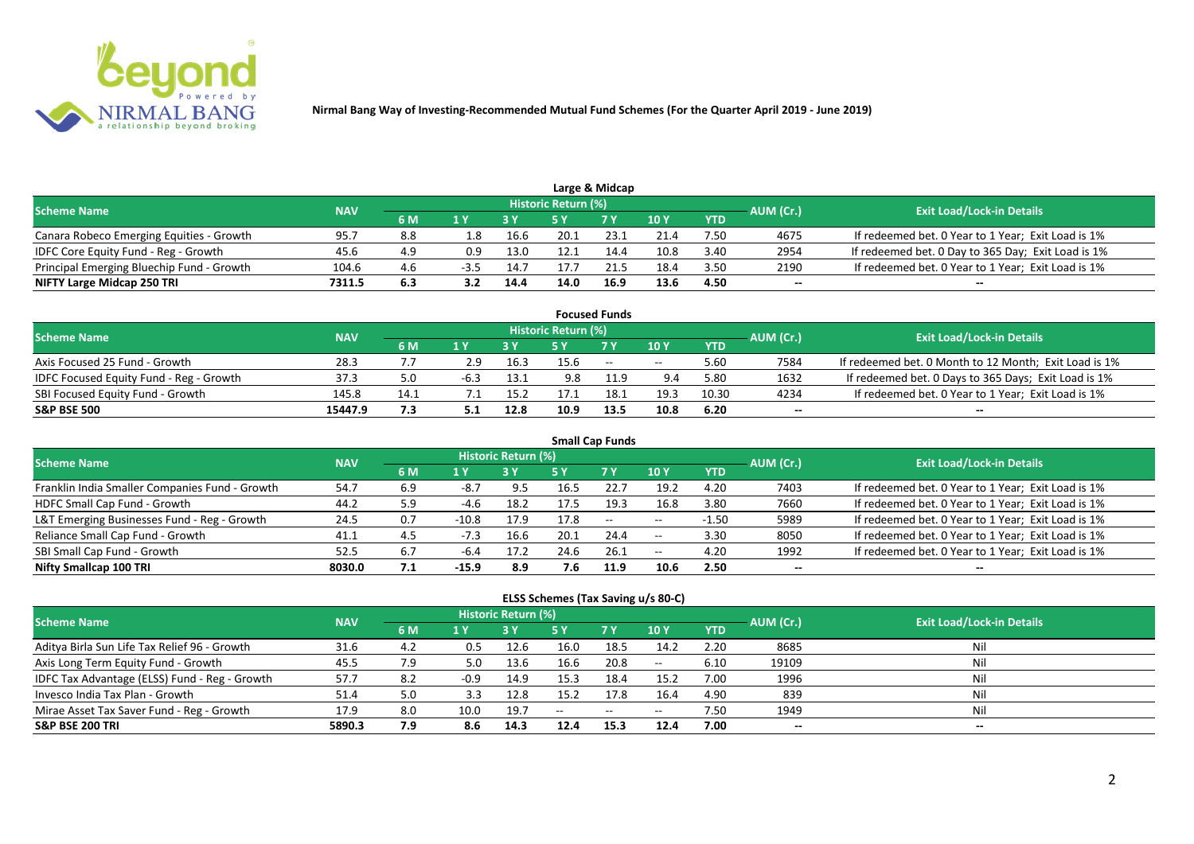

|                                           |            |     |      |      |                            | Large & Midcap |      |            |           |                                                    |
|-------------------------------------------|------------|-----|------|------|----------------------------|----------------|------|------------|-----------|----------------------------------------------------|
| <b>Scheme Name</b>                        | <b>NAV</b> |     |      |      | <b>Historic Return (%)</b> |                |      |            | AUM (Cr.) | <b>Exit Load/Lock-in Details</b>                   |
|                                           |            | 6 M |      |      |                            | 7 <sub>Y</sub> | 40Y  | <b>YTD</b> |           |                                                    |
| Canara Robeco Emerging Equities - Growth  | 95.7       | 8.8 | - 8. | 16.6 | 20.1                       | 23.1           | 21.4 | 7.50       | 4675      | If redeemed bet. 0 Year to 1 Year; Exit Load is 1% |
| IDFC Core Equity Fund - Reg - Growth      | 45.6       | 4.9 | 0.9  | 13.0 | 12.1                       | 14.4           | 10.8 | 3.40       | 2954      | If redeemed bet. 0 Day to 365 Day; Exit Load is 1% |
| Principal Emerging Bluechip Fund - Growth | 104.6      | 4.6 | -3.5 | 14.7 | 17.7                       |                | 18.4 | 3.50       | 2190      | If redeemed bet. 0 Year to 1 Year; Exit Load is 1% |
| NIFTY Large Midcap 250 TRI                | 7311.5     | 6.3 |      | 14.4 | 14.0                       | 16.9           | 13.6 | 4.50       | --        | $- -$                                              |

|                                                |            |      |     |      |                     | <b>Focused Funds</b> |            |            |           |                                                       |
|------------------------------------------------|------------|------|-----|------|---------------------|----------------------|------------|------------|-----------|-------------------------------------------------------|
| <b>Scheme Name</b>                             | <b>NAV</b> |      |     |      | Historic Return (%) |                      |            |            | AUM (Cr.) | <b>Exit Load/Lock-in Details</b>                      |
|                                                |            | 6 M  | 1 V |      |                     | 7 Y                  | 10Y        | <b>YTD</b> |           |                                                       |
| Axis Focused 25 Fund - Growth                  | 28.3       |      |     | 16.3 | 15.6                | $\sim$               | $\sim$ $-$ | 5.60       | 7584      | If redeemed bet. 0 Month to 12 Month; Exit Load is 1% |
| <b>IDFC Focused Equity Fund - Reg - Growth</b> | 37.3       | 5.0  |     | 13.1 | 9.8                 | 11.9                 | 9.4        | 5.80       | 1632      | If redeemed bet. 0 Days to 365 Days; Exit Load is 1%  |
| SBI Focused Equity Fund - Growth               | 145.8      | 14.1 |     | 15.2 |                     | 18.1                 | 19.3       | 10.30      | 4234      | If redeemed bet. 0 Year to 1 Year; Exit Load is 1%    |
| <b>S&amp;P BSE 500</b>                         | 15447.9    |      |     | 12.8 | 10.9                | 13.5                 | 10.8       | 6.20       | --        | --                                                    |

| <b>Small Cap Funds</b>                         |            |     |         |                     |      |           |            |            |           |                                                    |  |  |  |
|------------------------------------------------|------------|-----|---------|---------------------|------|-----------|------------|------------|-----------|----------------------------------------------------|--|--|--|
| <b>Scheme Name</b>                             | <b>NAV</b> |     |         | Historic Return (%) |      |           |            |            | AUM (Cr.) | <b>Exit Load/Lock-in Details</b>                   |  |  |  |
|                                                |            | 6 M | 1 Y     |                     | 5 Y  | <b>7Y</b> | 10Y        | <b>YTD</b> |           |                                                    |  |  |  |
| Franklin India Smaller Companies Fund - Growth | 54.7       | 6.9 | -8.,    | 9.5                 | 16.5 | 22.7      | 19.2       | 4.20       | 7403      | If redeemed bet. 0 Year to 1 Year; Exit Load is 1% |  |  |  |
| HDFC Small Cap Fund - Growth                   | 44.2       | 5.9 | $-4.6$  | 18.2                | 17.5 | 19.3      | 16.8       | 3.80       | 7660      | If redeemed bet. 0 Year to 1 Year; Exit Load is 1% |  |  |  |
| L&T Emerging Businesses Fund - Reg - Growth    | 24.5       | 0.7 | $-10.8$ | 17.9                | 17.8 | $- -$     | $\sim$ $-$ | $-1.50$    | 5989      | If redeemed bet. 0 Year to 1 Year; Exit Load is 1% |  |  |  |
| Reliance Small Cap Fund - Growth               | 41.1       | 4.5 | $-7.3$  | 16.6                | 20.1 | 24.4      | $- -$      | 3.30       | 8050      | If redeemed bet. 0 Year to 1 Year; Exit Load is 1% |  |  |  |
| SBI Small Cap Fund - Growth                    | 52.5       | 6.7 | $-6.4$  | 17.2                | 24.6 | 26.1      | $- -$      | 4.20       | 1992      | If redeemed bet. 0 Year to 1 Year; Exit Load is 1% |  |  |  |
| Nifty Smallcap 100 TRI                         | 8030.0     | 7.1 | -15.9   | 8.9                 | 7.6  | 11.9      | 10.6       | 2.50       | --        |                                                    |  |  |  |

### **ELSS Schemes (Tax Saving u/s 80-C)**

| <b>Scheme Name</b>                            | <b>NAV</b> |     |        | Historic Return (%) |      |            |                 | AUM (Cr.)  | <b>Exit Load/Lock-in Details</b> |       |
|-----------------------------------------------|------------|-----|--------|---------------------|------|------------|-----------------|------------|----------------------------------|-------|
|                                               |            | 6 M | 1 Y    |                     | 5 Y  | <b>7 Y</b> | 10 <sub>1</sub> | <b>YTD</b> |                                  |       |
| Aditya Birla Sun Life Tax Relief 96 - Growth  | 31.6       | 4.2 | 0.5    | 12.6                | 16.0 | 18.5       | 14.2            | 2.20       | 8685                             |       |
| Axis Long Term Equity Fund - Growth           | 45.5       | 7.9 | 5.0    | 13.6                | 16.6 | 20.8       | $\sim$ $\sim$   | 6.10       | 19109                            | Nil   |
| IDFC Tax Advantage (ELSS) Fund - Reg - Growth | 57.7       | 8.2 | $-0.9$ | 14.9                | 15.3 | 18.4       | 15.2            | 7.00       | 1996                             | Nil   |
| Invesco India Tax Plan - Growth               | 51.4       | 5.0 | 3.3    | 12.8                | 15.2 | 17.8       | 16.4            | 4.90       | 839                              | Ni    |
| Mirae Asset Tax Saver Fund - Reg - Growth     | 17.9       | 8.0 | 10.0   | 19.7                | $-$  | $\sim$     | $- -$           | 7.50       | 1949                             | Nil   |
| <b>S&amp;P BSE 200 TRI</b>                    | 5890.3     | 7.9 | 8.6    | 14.3                | 12.4 | 15.3       | 12.4            | 7.00       | --                               | $- -$ |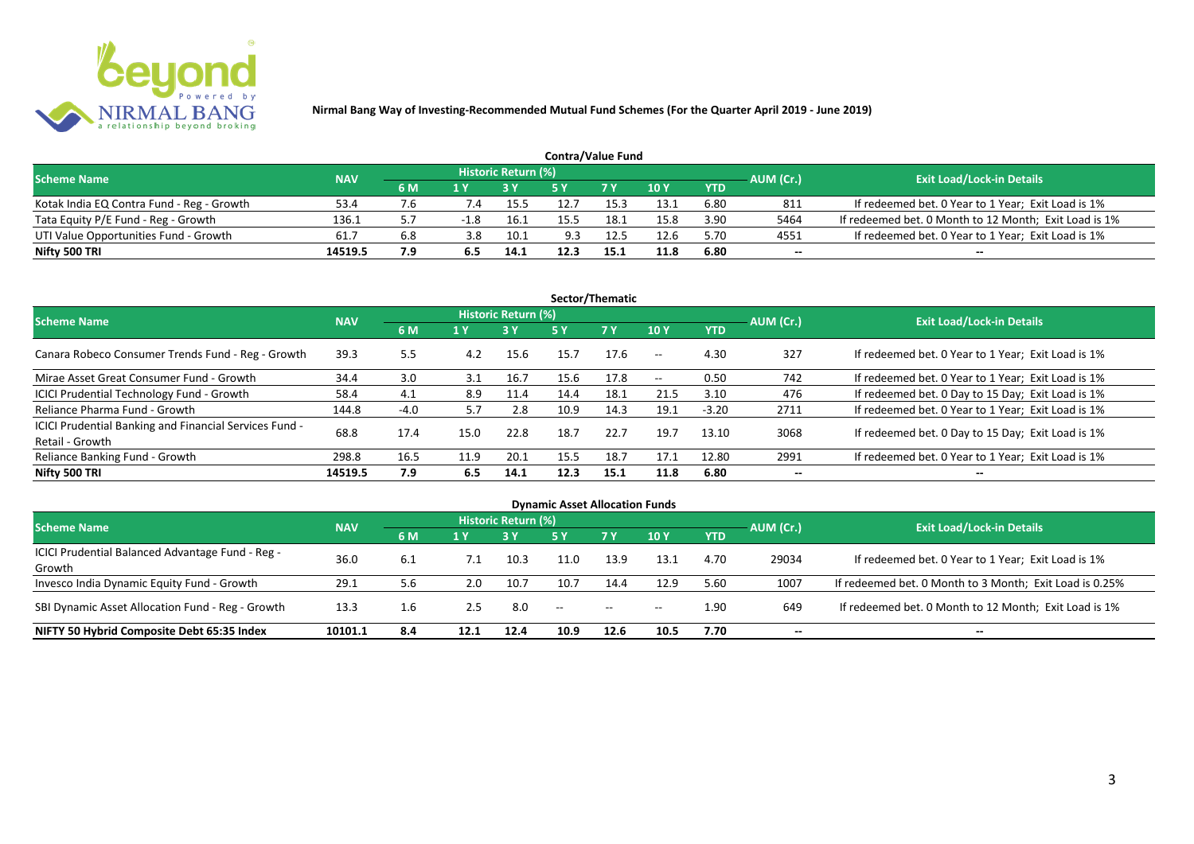

| <b>Contra/Value Fund</b>                  |            |     |              |                     |      |            |      |            |           |                                                       |  |  |  |
|-------------------------------------------|------------|-----|--------------|---------------------|------|------------|------|------------|-----------|-------------------------------------------------------|--|--|--|
| <b>Scheme Name</b>                        | <b>NAV</b> |     |              | Historic Return (%) |      |            |      |            | AUM (Cr.) | <b>Exit Load/Lock-in Details</b>                      |  |  |  |
|                                           |            | 6 M | 1 Y          |                     |      | <b>7 Y</b> | 10Y  | <b>YTD</b> |           |                                                       |  |  |  |
| Kotak India EQ Contra Fund - Reg - Growth | 53.4       |     | $\lambda$ .4 | 15.5                | 12.7 | 15.3       | 13.1 | 6.80       | 811       | If redeemed bet. 0 Year to 1 Year; Exit Load is 1%    |  |  |  |
| Tata Equity P/E Fund - Reg - Growth       | 136.1      |     | $-1.8$       | 16.1                | 15.5 | 18.1       | 15.8 | 3.90       | 5464      | If redeemed bet. 0 Month to 12 Month; Exit Load is 1% |  |  |  |
| UTI Value Opportunities Fund - Growth     | 61.7       | 6.8 | 3.8          | 10.1                | 9.3  | 12.5       | 12.6 | 5.70       | 4551      | If redeemed bet. 0 Year to 1 Year; Exit Load is 1%    |  |  |  |
| Nifty 500 TRI                             | 14519.5    | 7.9 |              | 14.1                | 12.3 | 15.1       | 11.8 | 6.80       | --        | $- -$                                                 |  |  |  |

| Sector/Thematic                                                           |            |        |      |                            |      |           |                          |            |           |                                                    |  |  |  |
|---------------------------------------------------------------------------|------------|--------|------|----------------------------|------|-----------|--------------------------|------------|-----------|----------------------------------------------------|--|--|--|
| <b>Scheme Name</b>                                                        | <b>NAV</b> |        |      | <b>Historic Return (%)</b> |      |           |                          |            | AUM (Cr.) | <b>Exit Load/Lock-in Details</b>                   |  |  |  |
|                                                                           |            | 6 M    | 1 Y  | <b>3 Y</b>                 | 5 Y  | <b>7Y</b> | <b>10Y</b>               | <b>YTD</b> |           |                                                    |  |  |  |
| Canara Robeco Consumer Trends Fund - Reg - Growth                         | 39.3       | 5.5    | 4.2  | 15.6                       | 15.7 | 17.6      | $\sim$ $\sim$            | 4.30       | 327       | If redeemed bet. 0 Year to 1 Year; Exit Load is 1% |  |  |  |
| Mirae Asset Great Consumer Fund - Growth                                  | 34.4       | 3.0    | 3.1  | 16.7                       | 15.6 | 17.8      | $\overline{\phantom{a}}$ | 0.50       | 742       | If redeemed bet. 0 Year to 1 Year; Exit Load is 1% |  |  |  |
| ICICI Prudential Technology Fund - Growth                                 | 58.4       | 4.1    | 8.9  | 11.4                       | 14.4 | 18.1      | 21.5                     | 3.10       | 476       | If redeemed bet. 0 Day to 15 Day; Exit Load is 1%  |  |  |  |
| Reliance Pharma Fund - Growth                                             | 144.8      | $-4.0$ | 5.7  | 2.8                        | 10.9 | 14.3      | 19.1                     | $-3.20$    | 2711      | If redeemed bet. 0 Year to 1 Year; Exit Load is 1% |  |  |  |
| ICICI Prudential Banking and Financial Services Fund -<br>Retail - Growth | 68.8       | 17.4   | 15.0 | 22.8                       | 18.7 | 22.7      | 19.7                     | 13.10      | 3068      | If redeemed bet. 0 Day to 15 Day; Exit Load is 1%  |  |  |  |
| Reliance Banking Fund - Growth                                            | 298.8      | 16.5   | 11.9 | 20.1                       | 15.5 | 18.7      | 17.1                     | 12.80      | 2991      | If redeemed bet. 0 Year to 1 Year; Exit Load is 1% |  |  |  |
| Nifty 500 TRI                                                             | 14519.5    | 7.9    | 6.5  | 14.1                       | 12.3 | 15.1      | 11.8                     | 6.80       | $- -$     | $\overline{\phantom{a}}$                           |  |  |  |

| <b>Dynamic Asset Allocation Funds</b>            |            |     |      |                            |            |           |            |            |           |                                                         |  |  |
|--------------------------------------------------|------------|-----|------|----------------------------|------------|-----------|------------|------------|-----------|---------------------------------------------------------|--|--|
| <b>Scheme Name</b>                               | <b>NAV</b> |     |      | <b>Historic Return (%)</b> |            |           |            |            |           | <b>Exit Load/Lock-in Details</b>                        |  |  |
|                                                  |            | 6 M | 1 Y  |                            | <b>5 Y</b> | <b>7Y</b> | <b>10Y</b> | <b>YTD</b> | AUM (Cr.) |                                                         |  |  |
| ICICI Prudential Balanced Advantage Fund - Reg - |            |     |      |                            |            |           |            |            |           |                                                         |  |  |
| Growth                                           | 36.0       | 6.1 | 7.1  | 10.3                       | 11.0       | 13.9      | 13.1       | 4.70       | 29034     | If redeemed bet. 0 Year to 1 Year; Exit Load is 1%      |  |  |
| Invesco India Dynamic Equity Fund - Growth       | 29.1       | 5.6 | 2.0  | 10.7                       | 10.7       | 14.4      | 12.9       | 5.60       | 1007      | If redeemed bet. 0 Month to 3 Month; Exit Load is 0.25% |  |  |
| SBI Dynamic Asset Allocation Fund - Reg - Growth | 13.3       | 1.6 | 2.5  | 8.0                        | $\sim$     | $\sim$    | $\sim$     | 1.90       | 649       | If redeemed bet. 0 Month to 12 Month; Exit Load is 1%   |  |  |
| NIFTY 50 Hybrid Composite Debt 65:35 Index       | 10101.1    | 8.4 | 12.1 | 12.4                       | 10.9       | 12.6      | 10.5       | 7.70       | --        | $- -$                                                   |  |  |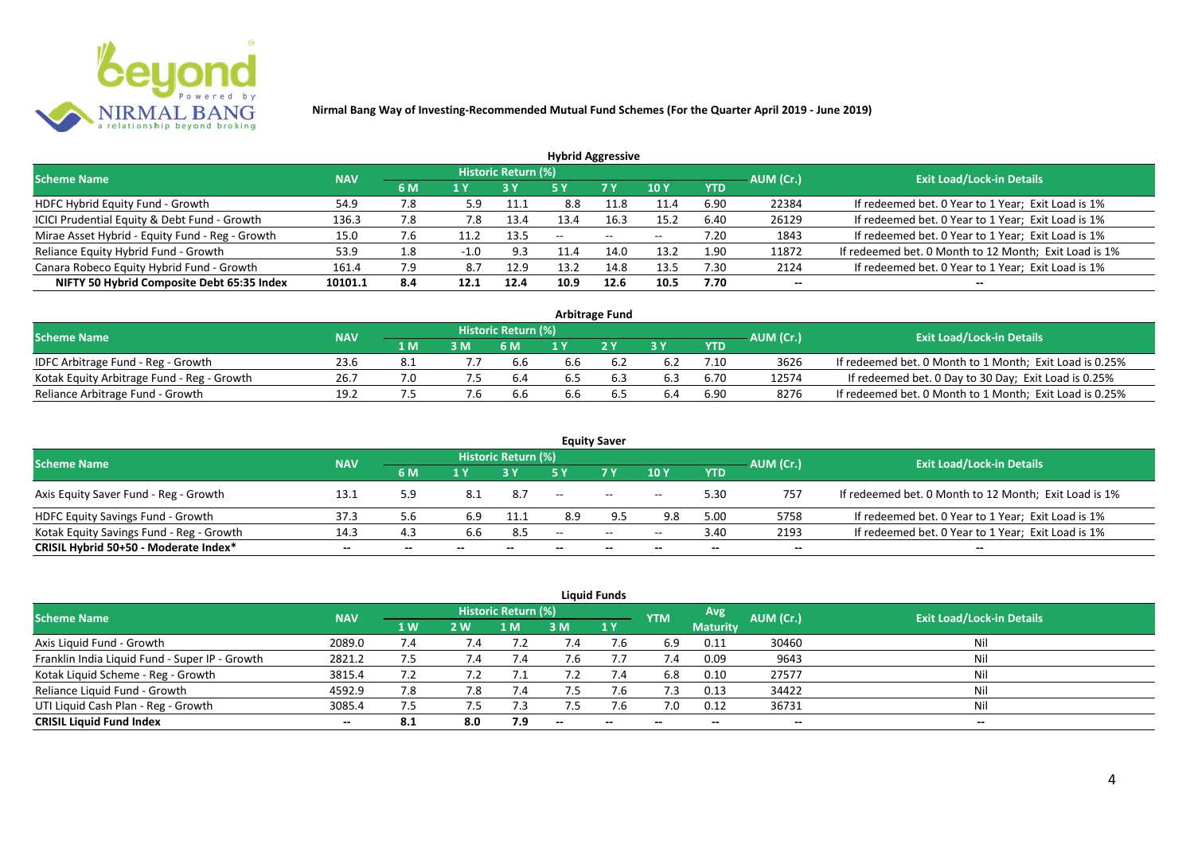

| <b>Hybrid Aggressive</b>                        |            |     |        |                     |      |               |            |            |                          |                                                       |  |  |  |
|-------------------------------------------------|------------|-----|--------|---------------------|------|---------------|------------|------------|--------------------------|-------------------------------------------------------|--|--|--|
| <b>Scheme Name</b>                              | <b>NAV</b> |     |        | Historic Return (%) |      |               |            |            | AUM (Cr.)                | <b>Exit Load/Lock-in Details</b>                      |  |  |  |
|                                                 |            | 6 M | '1 Y   |                     | 5 Y  | 7 Y           | <b>10Y</b> | <b>YTD</b> |                          |                                                       |  |  |  |
| HDFC Hybrid Equity Fund - Growth                | 54.9       | 7.8 | 5.9    | 11.1                | 8.8  | 11.8          | 11.4       | 6.90       | 22384                    | If redeemed bet. 0 Year to 1 Year; Exit Load is 1%    |  |  |  |
| ICICI Prudential Equity & Debt Fund - Growth    | 136.3      | 7.8 | 7.8    | 13.4                | 13.4 | 16.3          | 15.2       | 6.40       | 26129                    | If redeemed bet. 0 Year to 1 Year; Exit Load is 1%    |  |  |  |
| Mirae Asset Hybrid - Equity Fund - Reg - Growth | 15.0       | 7.6 |        | 13.5                | --   | $\sim$ $\sim$ | $- -$      | 7.20       | 1843                     | If redeemed bet. 0 Year to 1 Year; Exit Load is 1%    |  |  |  |
| Reliance Equity Hybrid Fund - Growth            | 53.9       | 1.8 | $-1.0$ | 9.3                 |      | 14.0          | 13.2       | 1.90       | 11872                    | If redeemed bet. 0 Month to 12 Month; Exit Load is 1% |  |  |  |
| Canara Robeco Equity Hybrid Fund - Growth       | 161.4      | 7.9 | 8.7    | 12.9                | 13.2 | 14.8          | 13.5       | 7.30       | 2124                     | If redeemed bet. 0 Year to 1 Year; Exit Load is 1%    |  |  |  |
| NIFTY 50 Hybrid Composite Debt 65:35 Index      | 10101.1    | 8.4 | 12.1   | 12.4                | 10.9 | 12.6          | 10.5       | 7.70       | $\overline{\phantom{a}}$ |                                                       |  |  |  |
|                                                 |            |     |        |                     |      |               |            |            |                          |                                                       |  |  |  |

| <b>Arbitrage Fund</b>                      |            |                  |    |                     |     |     |      |            |           |                                                         |  |  |  |
|--------------------------------------------|------------|------------------|----|---------------------|-----|-----|------|------------|-----------|---------------------------------------------------------|--|--|--|
| <b>Scheme Name</b>                         | <b>NAV</b> |                  |    | Historic Return (%) |     |     |      |            | AUM (Cr.) | <b>Exit Load/Lock-in Details</b>                        |  |  |  |
|                                            |            | $4\,$ M $\prime$ | 3M | 6 M                 |     | 2Y  |      | <b>YTD</b> |           |                                                         |  |  |  |
| IDFC Arbitrage Fund - Reg - Growth         | 23.6       |                  |    | 6.6                 | 6.b |     |      | 7.10       | 3626      | If redeemed bet. 0 Month to 1 Month; Exit Load is 0.25% |  |  |  |
| Kotak Equity Arbitrage Fund - Reg - Growth | 26.7       |                  | ש. | 6.4                 | 6.5 | 6.3 | 6.3  | 6.70       | 12574     | If redeemed bet. 0 Day to 30 Day; Exit Load is 0.25%    |  |  |  |
| Reliance Arbitrage Fund - Growth           | 19.2       |                  |    | 6.6                 | 6.6 | כ.ס | -6.4 | 6.90       | 8276      | If redeemed bet. 0 Month to 1 Month; Exit Load is 0.25% |  |  |  |

|                                          |            |     |       |                     |       | <b>Equity Saver</b> |             |            |           |                                                       |
|------------------------------------------|------------|-----|-------|---------------------|-------|---------------------|-------------|------------|-----------|-------------------------------------------------------|
| <b>Scheme Name</b>                       | <b>NAV</b> |     |       | Historic Return (%) |       |                     |             |            | AUM (Cr.) | <b>Exit Load/Lock-in Details</b>                      |
|                                          |            | 6 M | 1 Y   |                     |       | <b>7Y</b>           | <b>10 Y</b> | <b>YTD</b> |           |                                                       |
| Axis Equity Saver Fund - Reg - Growth    | 13.1       | 5.9 |       | 8.7                 | $ -$  | $\sim$              | $- -$       | 5.30       | 757       | If redeemed bet. 0 Month to 12 Month; Exit Load is 1% |
| HDFC Equity Savings Fund - Growth        | 37.3       | 5.6 |       | 11.1                |       |                     | 9.8         | 5.00       | 5758      | If redeemed bet. 0 Year to 1 Year; Exit Load is 1%    |
| Kotak Equity Savings Fund - Reg - Growth | 14.3       | 4.3 | 6.6   | 8.5                 | $- -$ | $\sim$              | $- -$       | 3.40       | 2193      | If redeemed bet. 0 Year to 1 Year; Exit Load is 1%    |
| CRISIL Hybrid 50+50 - Moderate Index*    | $- -$      | --  | $- -$ | $- -$               | --    | --                  | $- -$       | $- -$      | $- -$     | $- -$                                                 |

|                                                |            |     |            |                            |        | <b>Liquid Funds</b> |            |                 |           |                                  |
|------------------------------------------------|------------|-----|------------|----------------------------|--------|---------------------|------------|-----------------|-----------|----------------------------------|
| Scheme Name                                    | <b>NAV</b> |     |            | <b>Historic Return (%)</b> |        |                     | <b>YTM</b> | Avg             | AUM (Cr.) | <b>Exit Load/Lock-in Details</b> |
|                                                |            | 1W  | <b>2 W</b> | 1 M                        | 3 M    | <b>71 Y</b>         |            | <b>Maturity</b> |           |                                  |
| Axis Liquid Fund - Growth                      | 2089.0     | 7.4 | 7.4        |                            |        | 7.b                 | 6.9        | 0.11            | 30460     | Nil                              |
| Franklin India Liquid Fund - Super IP - Growth | 2821.2     | 7.5 | 7.4        |                            |        |                     | 7.4        | 0.09            | 9643      | Nil                              |
| Kotak Liquid Scheme - Reg - Growth             | 3815.4     | 7.2 |            |                            | 7.2    | 7.4                 | 6.8        | 0.10            | 27577     | Nil                              |
| Reliance Liquid Fund - Growth                  | 4592.9     | 7.8 | 7.8        | 7.4                        |        | 7.6                 | 7.3        | 0.13            | 34422     | Nil                              |
| UTI Liquid Cash Plan - Reg - Growth            | 3085.4     | 7.5 | ל. /       | 7.3                        |        |                     | 7.0        | 0.12            | 36731     | Nil                              |
| <b>CRISIL Liquid Fund Index</b>                | $- -$      | 8.1 | 8.0        | 7.9                        | $\sim$ | $-$                 | $- -$      | $- -$           | $- -$     | $\sim$                           |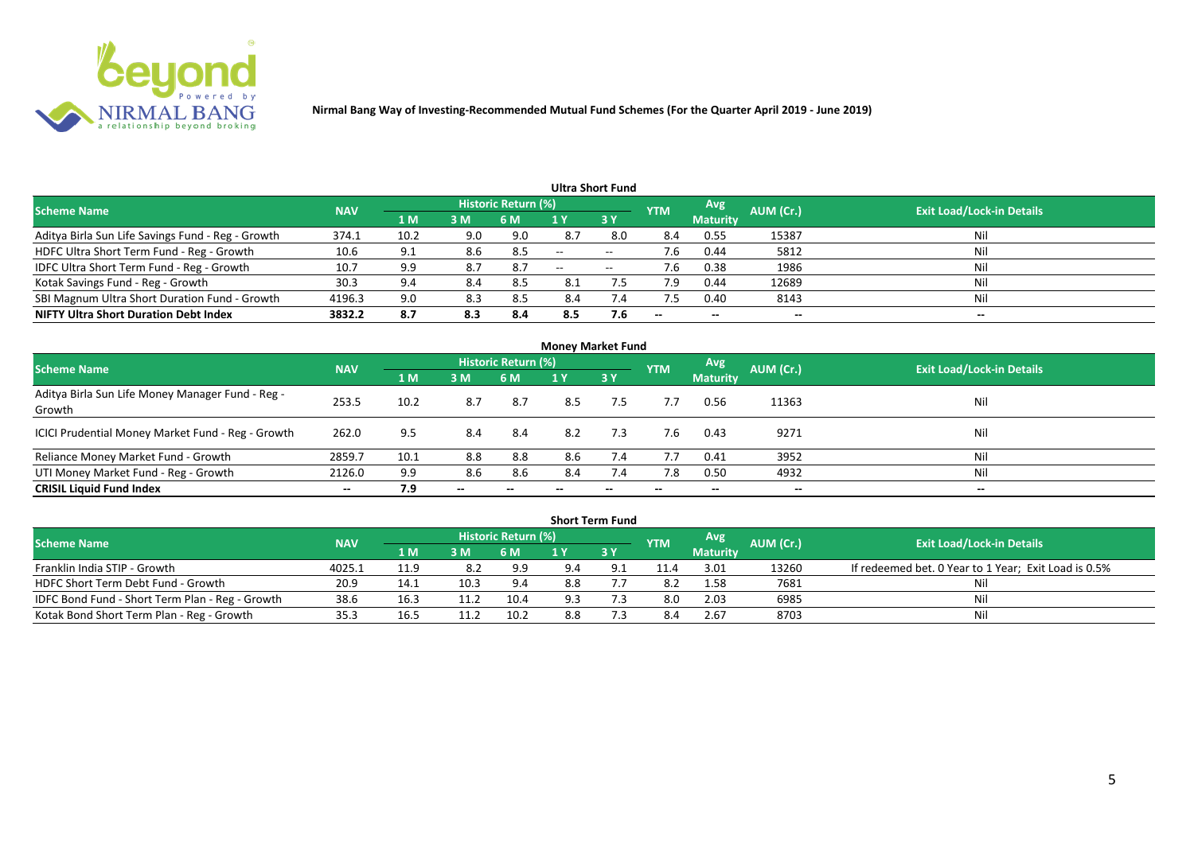

|                                                   |            |                |     |                            |                          | <b>Ultra Short Fund</b>  |            |                          |           |                                  |
|---------------------------------------------------|------------|----------------|-----|----------------------------|--------------------------|--------------------------|------------|--------------------------|-----------|----------------------------------|
| <b>Scheme Name</b>                                | <b>NAV</b> |                |     | <b>Historic Return (%)</b> |                          |                          | <b>YTM</b> | Avg                      | AUM (Cr.) | <b>Exit Load/Lock-in Details</b> |
|                                                   |            | 1 <sub>M</sub> | 3 M | 6 M                        |                          | 3Y                       |            | <b>Maturity</b>          |           |                                  |
| Aditya Birla Sun Life Savings Fund - Reg - Growth | 374.1      | 10.2           | 9.0 | 9.0                        | 8.7                      | 8.0                      | 8.4        | 0.55                     | 15387     | Nil                              |
| HDFC Ultra Short Term Fund - Reg - Growth         | 10.6       | 9.1            | 8.6 | 8.5                        | $\overline{\phantom{a}}$ | $- -$                    | 7.6        | 0.44                     | 5812      | Nil                              |
| IDFC Ultra Short Term Fund - Reg - Growth         | 10.7       | 9.9            | 8.7 | -8.7                       | $- -$                    | $\overline{\phantom{a}}$ | 7.6        | 0.38                     | 1986      | Nil                              |
| Kotak Savings Fund - Reg - Growth                 | 30.3       | 9.4            | 8.4 | 8.5                        | 8.1                      | 7.5                      | 7.9        | 0.44                     | 12689     | Nil                              |
| SBI Magnum Ultra Short Duration Fund - Growth     | 4196.3     | 9.0            | 8.3 | 8.5                        | 8.4                      | 7.4                      | 7.5        | 0.40                     | 8143      | Nil                              |
| <b>NIFTY Ultra Short Duration Debt Index</b>      | 3832.2     | 8.7            | 8.3 | 8.4                        | 8.5                      | 7.6                      | $- -$      | $\overline{\phantom{a}}$ | --        | $- -$                            |

| <b>Money Market Fund</b>                                   |            |      |                          |                            |     |           |            |                 |                          |                                  |  |  |  |
|------------------------------------------------------------|------------|------|--------------------------|----------------------------|-----|-----------|------------|-----------------|--------------------------|----------------------------------|--|--|--|
| <b>Scheme Name</b>                                         | <b>NAV</b> |      |                          | <b>Historic Return (%)</b> |     |           | <b>YTM</b> | Avg.            | AUM (Cr.)                | <b>Exit Load/Lock-in Details</b> |  |  |  |
|                                                            |            | 1 M  | 3M                       | 6 M                        | 1 Y | <b>3Y</b> |            | <b>Maturity</b> |                          |                                  |  |  |  |
| Aditya Birla Sun Life Money Manager Fund - Reg -<br>Growth | 253.5      | 10.2 | 8.7                      | 8.7                        | 8.5 | 7.5       | 7.7        | 0.56            | 11363                    | Nil                              |  |  |  |
| ICICI Prudential Money Market Fund - Reg - Growth          | 262.0      | 9.5  | 8.4                      | 8.4                        | 8.2 | 7.3       | 7.6        | 0.43            | 9271                     | Nil                              |  |  |  |
| Reliance Money Market Fund - Growth                        | 2859.7     | 10.1 | 8.8                      | 8.8                        | 8.6 | 7.4       | 7.7        | 0.41            | 3952                     | Nil                              |  |  |  |
| UTI Money Market Fund - Reg - Growth                       | 2126.0     | 9.9  | 8.6                      | 8.6                        | 8.4 |           | 7.8        | 0.50            | 4932                     | Nil                              |  |  |  |
| <b>CRISIL Liquid Fund Index</b>                            | $- -$      | 7.9  | $\overline{\phantom{a}}$ | $\overline{\phantom{a}}$   |     | --        | $- -$      | $- -$           | $\overline{\phantom{a}}$ | $- -$                            |  |  |  |

|                                                 |            |      |      |                            |     | <b>Short Term Fund</b> |            |                 |           |                                                      |
|-------------------------------------------------|------------|------|------|----------------------------|-----|------------------------|------------|-----------------|-----------|------------------------------------------------------|
| <b>Scheme Name</b>                              | <b>NAV</b> |      |      | <b>Historic Return (%)</b> |     |                        | <b>YTM</b> | <b>Avg</b>      | AUM (Cr.) | <b>Exit Load/Lock-in Details</b>                     |
|                                                 |            | 4 MZ | 3M   | 6 M                        |     | 73 Y                   |            | <b>Maturity</b> |           |                                                      |
| Franklin India STIP - Growth                    | 4025.1     | 11.9 | 8.2  | 9.9                        | 9.4 |                        | 11.4       | 3.01            | 13260     | If redeemed bet. 0 Year to 1 Year; Exit Load is 0.5% |
| HDFC Short Term Debt Fund - Growth              | 20.9       | 14.1 | 10.3 | 9.4                        | 8.8 |                        | 8.2        | 1.58            | 7681      | Nil                                                  |
| IDFC Bond Fund - Short Term Plan - Reg - Growth | 38.6       | 16.3 | 11.2 | 10.4                       | 9.3 |                        | 8.0        | 2.03            | 6985      | Nil                                                  |
| Kotak Bond Short Term Plan - Reg - Growth       | 35.3       | 16.5 |      | 10.2                       | 8.8 |                        | 8.4        | 2.67            | 8703      | Nil                                                  |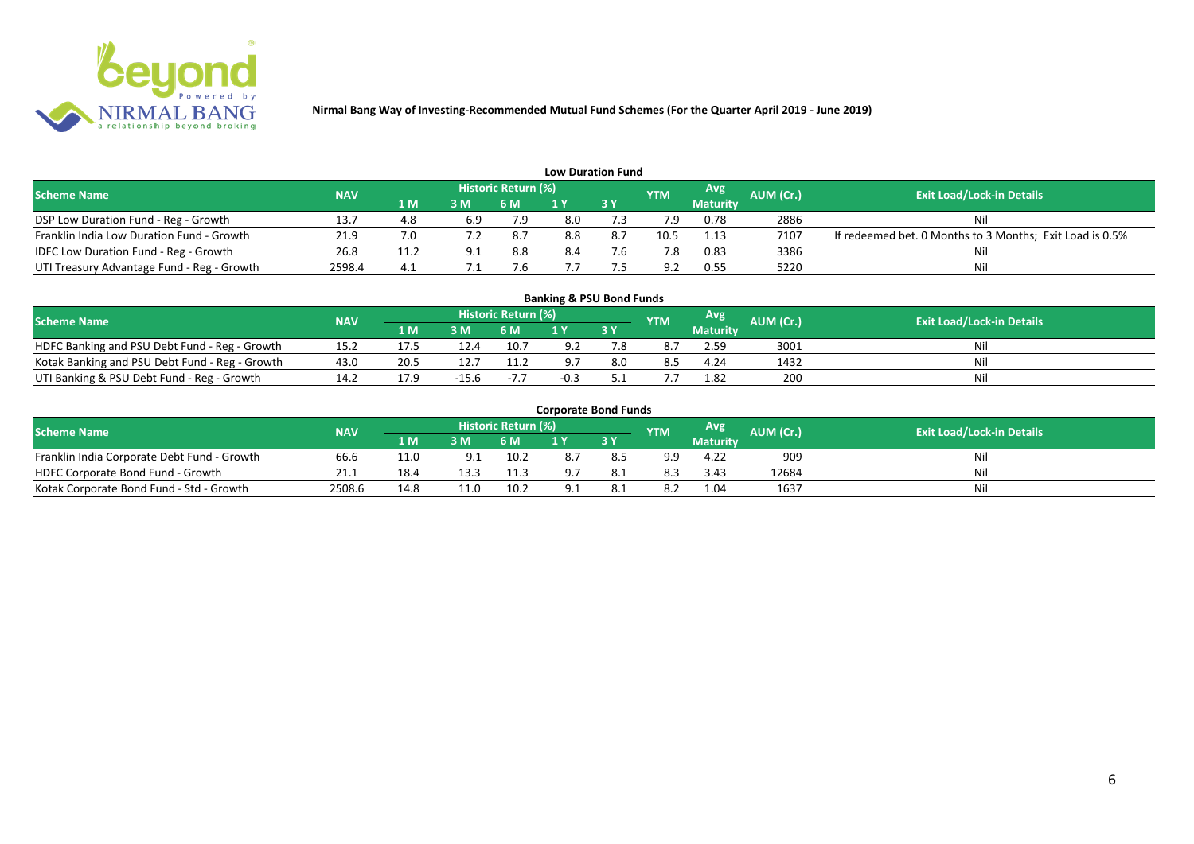

|                                              |            |              |     |                            |     | <b>Low Duration Fund</b> |            |                 |           |                                                          |
|----------------------------------------------|------------|--------------|-----|----------------------------|-----|--------------------------|------------|-----------------|-----------|----------------------------------------------------------|
| <b>Scheme Name</b>                           | <b>NAV</b> |              |     | <b>Historic Return (%)</b> |     |                          | <b>YTM</b> | Avg             | AUM (Cr.) | <b>Exit Load/Lock-in Details</b>                         |
|                                              |            | $\Lambda$ M/ | 3M  | <b>6 M</b>                 |     | <b>3Y</b>                |            | <b>Maturity</b> |           |                                                          |
| DSP Low Duration Fund - Reg - Growth         | 13.7       | 4.8          | 6.9 | 7.9                        | 8.0 |                          |            | 0.78            | 2886      | Nil                                                      |
| Franklin India Low Duration Fund - Growth    | 21.9       |              |     | 8.7                        | 8.8 |                          | 10.5       | 1.13            | 7107      | If redeemed bet. 0 Months to 3 Months; Exit Load is 0.5% |
| <b>IDFC Low Duration Fund - Reg - Growth</b> | 26.8       | 11.2         |     | 8.8                        | 8.4 |                          |            | 0.83            | 3386      | Nil                                                      |
| UTI Treasury Advantage Fund - Reg - Growth   | 2598.4     | 4.1          |     |                            |     |                          | ാ          | 0.55            | 5220      | Nil                                                      |

#### **Banking & PSU Bond Funds**

| <b>Scheme Name</b>                             | <b>NAV</b>  |      |      | <b>Historic Return (%)</b> |     | <b>YTM</b> | Avg             | <b>AUM</b> (Cr.). | <b>Exit Load/Lock-in Details</b> |
|------------------------------------------------|-------------|------|------|----------------------------|-----|------------|-----------------|-------------------|----------------------------------|
|                                                |             | เ м  | 3M   | 6 M                        | 3Y  |            | <b>Maturity</b> |                   |                                  |
| HDFC Banking and PSU Debt Fund - Reg - Growth  | <b>19.4</b> |      | 12.4 | 10.7                       |     |            | 2.59            | 3001              | Ni                               |
| Kotak Banking and PSU Debt Fund - Reg - Growth | 43.0        | 20.5 | 12.  | 11.2                       | 8.0 |            | 4.24            | 1432              | Ni                               |
| UTI Banking & PSU Debt Fund - Reg - Growth     | 14.2        | 17.9 |      | $-7.7$                     |     |            | 1.82            | 200               | Ni                               |

#### **Corporate Bond Funds**

| Scheme Name                                 | <b>NAV</b> |      |     | <b>Historic Return (%)</b> |              |    | <b>YTM</b> | Avg             | AUM (Cr.). | <b>Exit Load/Lock-in Details</b> |
|---------------------------------------------|------------|------|-----|----------------------------|--------------|----|------------|-----------------|------------|----------------------------------|
|                                             |            | 1 M' | 3 M |                            |              | 3Y |            | <b>Maturity</b> |            |                                  |
| Franklin India Corporate Debt Fund - Growth | 66.6       | 11.0 | 9.1 | 10.2                       |              |    | -a q       | 4.22            | 909        | Ni                               |
| HDFC Corporate Bond Fund - Growth           | 21.1       | 18.  |     | 11.3                       | $^{\circ}$ 7 |    | 8.3        | 3.43            | 12684      | Nil                              |
| Kotak Corporate Bond Fund - Std - Growth    | 2508.6     | 14.8 |     | 10.2                       |              |    | 8.2        | 1.04            | 1637       | Ni                               |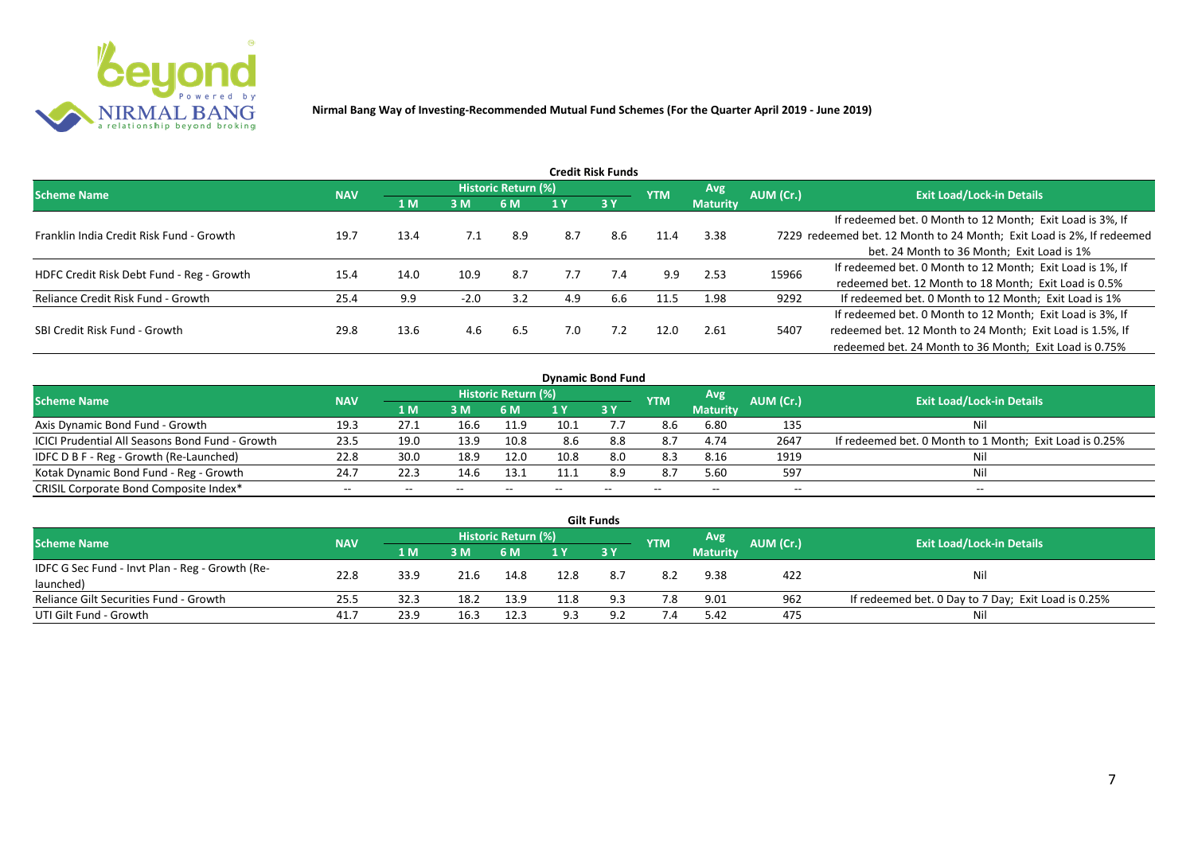

| Credit Risk Funds                         |            |      |        |                     |     |           |            |                 |           |                                                                       |  |  |  |
|-------------------------------------------|------------|------|--------|---------------------|-----|-----------|------------|-----------------|-----------|-----------------------------------------------------------------------|--|--|--|
| <b>Scheme Name</b>                        | <b>NAV</b> |      |        | Historic Return (%) |     |           | <b>YTM</b> | <b>Avg</b>      | AUM (Cr.) | <b>Exit Load/Lock-in Details</b>                                      |  |  |  |
|                                           |            | 1 M  | 3M     | 6 M                 |     | <b>3Y</b> |            | <b>Maturity</b> |           |                                                                       |  |  |  |
|                                           |            |      |        |                     |     |           |            |                 |           | If redeemed bet. 0 Month to 12 Month; Exit Load is 3%, If             |  |  |  |
| Franklin India Credit Risk Fund - Growth  | 19.7       | 13.4 | 7.1    | 8.9                 | 8.7 | 8.6       | 11.4       | 3.38            |           | 7229 redeemed bet. 12 Month to 24 Month; Exit Load is 2%, If redeemed |  |  |  |
|                                           |            |      |        |                     |     |           |            |                 |           | bet. 24 Month to 36 Month; Exit Load is 1%                            |  |  |  |
| HDFC Credit Risk Debt Fund - Reg - Growth | 15.4       | 14.0 | 10.9   | 8.7                 | 7.7 | 7.4       | 9.9        | 2.53            | 15966     | If redeemed bet. 0 Month to 12 Month; Exit Load is 1%, If             |  |  |  |
|                                           |            |      |        |                     |     |           |            |                 |           | redeemed bet. 12 Month to 18 Month; Exit Load is 0.5%                 |  |  |  |
| Reliance Credit Risk Fund - Growth        | 25.4       | 9.9  | $-2.0$ | 3.2                 | 4.9 | 6.6       | 11.5       | 1.98            | 9292      | If redeemed bet. 0 Month to 12 Month; Exit Load is 1%                 |  |  |  |
|                                           |            |      |        |                     |     |           |            |                 |           | If redeemed bet. 0 Month to 12 Month; Exit Load is 3%, If             |  |  |  |
| SBI Credit Risk Fund - Growth             | 29.8       | 13.6 | 4.6    | 6.5                 | 7.0 | 7.2       | 12.0       | 2.61            | 5407      | redeemed bet. 12 Month to 24 Month; Exit Load is 1.5%, If             |  |  |  |
|                                           |            |      |        |                     |     |           |            |                 |           | redeemed bet. 24 Month to 36 Month; Exit Load is 0.75%                |  |  |  |

| <b>Dynamic Bond Fund</b>                        |            |            |       |                            |      |      |            |                 |           |                                                         |  |  |  |  |
|-------------------------------------------------|------------|------------|-------|----------------------------|------|------|------------|-----------------|-----------|---------------------------------------------------------|--|--|--|--|
| <b>Scheme Name</b>                              | <b>NAV</b> |            |       | <b>Historic Return (%)</b> |      |      | <b>YTM</b> | <b>Avg</b>      | AUM (Cr.) | <b>Exit Load/Lock-in Details</b>                        |  |  |  |  |
|                                                 |            | <b>1 M</b> | 3M    | 6 M                        |      | 13 Y |            | <b>Maturity</b> |           |                                                         |  |  |  |  |
| Axis Dynamic Bond Fund - Growth                 | 19.3       | 27.1       | 16.6  | 11.9                       | 10.1 |      | 8.6        | 6.80            | 135       | Nil                                                     |  |  |  |  |
| ICICI Prudential All Seasons Bond Fund - Growth | 23.5       | 19.0       | 13.9  | 10.8                       | 8.6  | 8.8  | 8.7        | 4.74            | 2647      | If redeemed bet. 0 Month to 1 Month; Exit Load is 0.25% |  |  |  |  |
| IDFC D B F - Reg - Growth (Re-Launched)         | 22.8       | 30.0       | 18.9  | 12.0                       | 10.8 | 8.0  | 8.3        | 8.16            | 1919      | Nil                                                     |  |  |  |  |
| Kotak Dynamic Bond Fund - Reg - Growth          | 24.7       | 22.3       | 14.6  | 13.1                       | 11.1 | 8.9  | 8.7        | 5.60            | 597       | Nil                                                     |  |  |  |  |
| CRISIL Corporate Bond Composite Index*          | $- -$      | $- -$      | $- -$ |                            |      | --   | $- -$      | $-$             | --        | $- -$                                                   |  |  |  |  |

|                                                 |            |      |      |                     |      | <b>Gilt Funds</b> |            |                 |           |                                                     |
|-------------------------------------------------|------------|------|------|---------------------|------|-------------------|------------|-----------------|-----------|-----------------------------------------------------|
| <b>Scheme Name</b>                              | <b>NAV</b> |      |      | Historic Return (%) |      |                   | <b>YTM</b> | Avg             | AUM (Cr.) | <b>Exit Load/Lock-in Details</b>                    |
|                                                 |            | 1 M  | 3 M  | 6 M.                | 1 Y  | 73 Y              |            | <b>Maturity</b> |           |                                                     |
| IDFC G Sec Fund - Invt Plan - Reg - Growth (Re- | 22.8       | 33.9 | 21.6 | 14.8                | 12.8 |                   | 8.2        | 9.38            | 422       | Nil                                                 |
| launched)                                       |            |      |      |                     |      |                   |            |                 |           |                                                     |
| Reliance Gilt Securities Fund - Growth          | 25.5       | 32.3 | 18.2 | 13.9                |      | 9.3               | 7.8        | 9.01            | 962       | If redeemed bet. 0 Day to 7 Day; Exit Load is 0.25% |
| UTI Gilt Fund - Growth                          | 41.7       | 23.9 | 16.3 | 12.3                | -93  | ດ ເ               | 7.4        | 5.42            | 475       | Nil                                                 |